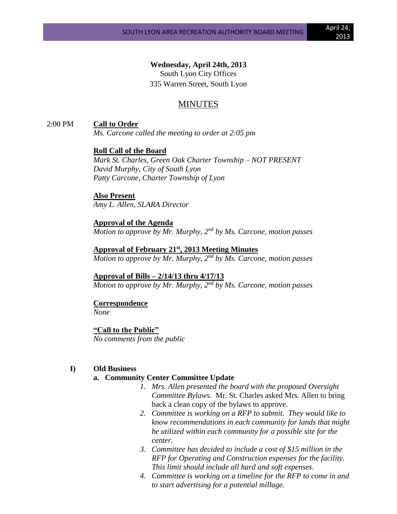**Wednesday, April 24th, 2013** South Lyon City Offices 335 Warren Street, South Lyon

## MINUTES

2:00 PM **Call to Order**

*Ms. Carcone called the meeting to order at 2:05 pm*

#### **Roll Call of the Board**

*Mark St. Charles, Green Oak Charter Township – NOT PRESENT David Murphy, City of South Lyon Patty Carcone, Charter Township of Lyon* 

#### **Also Present**

*Amy L. Allen, SLARA Director*

**Approval of the Agenda** *Motion to approve by Mr. Murphy, 2nd by Ms. Carcone, motion passes*

**Approval of February 21st, 2013 Meeting Minutes** *Motion to approve by Mr. Murphy, 2nd by Ms. Carcone, motion passes*

#### **Approval of Bills – 2/14/13 thru 4/17/13**

*Motion to approve by Mr. Murphy, 2nd by Ms. Carcone, motion passes*

#### **Correspondence** *None*

**"Call to the Public"** *No comments from the public*

#### **I) Old Business**

#### **a. Community Center Committee Update**

- *1. Mrs. Allen presented the board with the proposed Oversight Committee Bylaws.* Mr. St. Charles asked Mrs. Allen to bring back a clean copy of the bylaws to approve.
- *2. Committee is working on a RFP to submit. They would like to know recommendations in each community for lands that might be utilized within each community for a possible site for the center.*
- *3. Committee has decided to include a cost of \$15 million in the RFP for Operating and Construction expenses for the facility. This limit should include all hard and soft expenses.*
- *4. Committee is working on a timeline for the RFP to come in and to start advertising for a potential millage.*